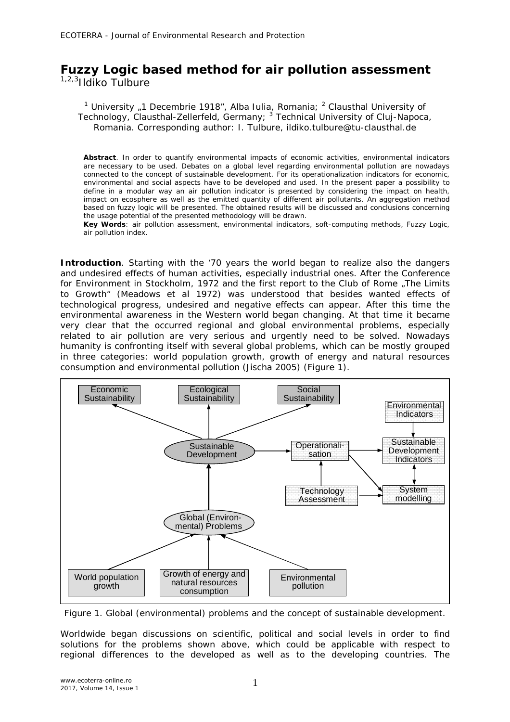## **Fuzzy Logic based method for air pollution assessment** 1,2,3Ildiko Tulbure

<sup>1</sup> University "1 Decembrie 1918", Alba Iulia, Romania; <sup>2</sup> Clausthal University of

Technology, Clausthal-Zellerfeld, Germany; <sup>3</sup> Technical University of Cluj-Napoca, Romania. Corresponding author: I. Tulbure, ildiko.tulbure@tu-clausthal.de

**Abstract**. In order to quantify environmental impacts of economic activities, environmental indicators are necessary to be used. Debates on a global level regarding environmental pollution are nowadays connected to the concept of sustainable development. For its operationalization indicators for economic, environmental and social aspects have to be developed and used. In the present paper a possibility to define in a modular way an air pollution indicator is presented by considering the impact on health, impact on ecosphere as well as the emitted quantity of different air pollutants. An aggregation method based on fuzzy logic will be presented. The obtained results will be discussed and conclusions concerning the usage potential of the presented methodology will be drawn.

**Key Words**: air pollution assessment, environmental indicators, soft-computing methods, Fuzzy Logic, air pollution index.

**Introduction**. Starting with the '70 years the world began to realize also the dangers and undesired effects of human activities, especially industrial ones. After the Conference for Environment in Stockholm, 1972 and the first report to the Club of Rome "The Limits to Growth" (Meadows et al 1972) was understood that besides wanted effects of technological progress, undesired and negative effects can appear. After this time the environmental awareness in the Western world began changing. At that time it became very clear that the occurred regional and global environmental problems, especially related to air pollution are very serious and urgently need to be solved. Nowadays humanity is confronting itself with several global problems, which can be mostly grouped in three categories: world population growth, growth of energy and natural resources consumption and environmental pollution (Jischa 2005) (Figure 1).



Figure 1. Global (environmental) problems and the concept of sustainable development.

Worldwide began discussions on scientific, political and social levels in order to find solutions for the problems shown above, which could be applicable with respect to regional differences to the developed as well as to the developing countries. The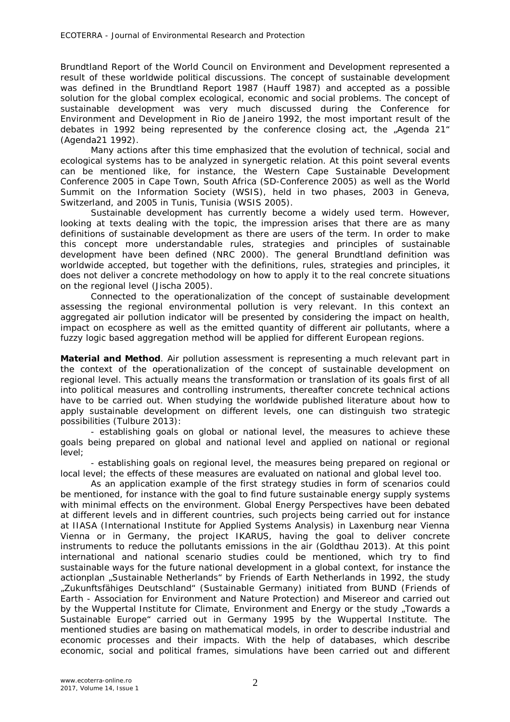Brundtland Report of the World Council on Environment and Development represented a result of these worldwide political discussions. The concept of sustainable development was defined in the Brundtland Report 1987 (Hauff 1987) and accepted as a possible solution for the global complex ecological, economic and social problems. The concept of sustainable development was very much discussed during the Conference for Environment and Development in Rio de Janeiro 1992, the most important result of the debates in 1992 being represented by the conference closing act, the "Agenda 21" (Agenda21 1992).

Many actions after this time emphasized that the evolution of technical, social and ecological systems has to be analyzed in synergetic relation. At this point several events can be mentioned like, for instance, the Western Cape Sustainable Development Conference 2005 in Cape Town, South Africa (SD-Conference 2005) as well as the World Summit on the Information Society (WSIS), held in two phases, 2003 in Geneva, Switzerland, and 2005 in Tunis, Tunisia (WSIS 2005).

Sustainable development has currently become a widely used term. However, looking at texts dealing with the topic, the impression arises that there are as many definitions of sustainable development as there are users of the term. In order to make this concept more understandable rules, strategies and principles of sustainable development have been defined (NRC 2000). The general Brundtland definition was worldwide accepted, but together with the definitions, rules, strategies and principles, it does not deliver a concrete methodology on how to apply it to the real concrete situations on the regional level (Jischa 2005).

Connected to the operationalization of the concept of sustainable development assessing the regional environmental pollution is very relevant. In this context an aggregated air pollution indicator will be presented by considering the impact on health, impact on ecosphere as well as the emitted quantity of different air pollutants, where a fuzzy logic based aggregation method will be applied for different European regions.

**Material and Method**. Air pollution assessment is representing a much relevant part in the context of the operationalization of the concept of sustainable development on regional level. This actually means the transformation or translation of its goals first of all into political measures and controlling instruments, thereafter concrete technical actions have to be carried out. When studying the worldwide published literature about how to apply sustainable development on different levels, one can distinguish two strategic possibilities (Tulbure 2013):

- establishing goals on global or national level, the measures to achieve these goals being prepared on global and national level and applied on national or regional level;

- establishing goals on regional level, the measures being prepared on regional or local level; the effects of these measures are evaluated on national and global level too.

As an application example of the first strategy studies in form of scenarios could be mentioned, for instance with the goal to find future sustainable energy supply systems with minimal effects on the environment. Global Energy Perspectives have been debated at different levels and in different countries, such projects being carried out for instance at IIASA (International Institute for Applied Systems Analysis) in Laxenburg near Vienna Vienna or in Germany, the project IKARUS, having the goal to deliver concrete instruments to reduce the pollutants emissions in the air (Goldthau 2013). At this point international and national scenario studies could be mentioned, which try to find sustainable ways for the future national development in a global context, for instance the actionplan "Sustainable Netherlands" by Friends of Earth Netherlands in 1992, the study "Zukunftsfähiges Deutschland" (Sustainable Germany) initiated from BUND (Friends of Earth - Association for Environment and Nature Protection) and Misereor and carried out by the Wuppertal Institute for Climate, Environment and Energy or the study "Towards a Sustainable Europe" carried out in Germany 1995 by the Wuppertal Institute. The mentioned studies are basing on mathematical models, in order to describe industrial and economic processes and their impacts. With the help of databases, which describe economic, social and political frames, simulations have been carried out and different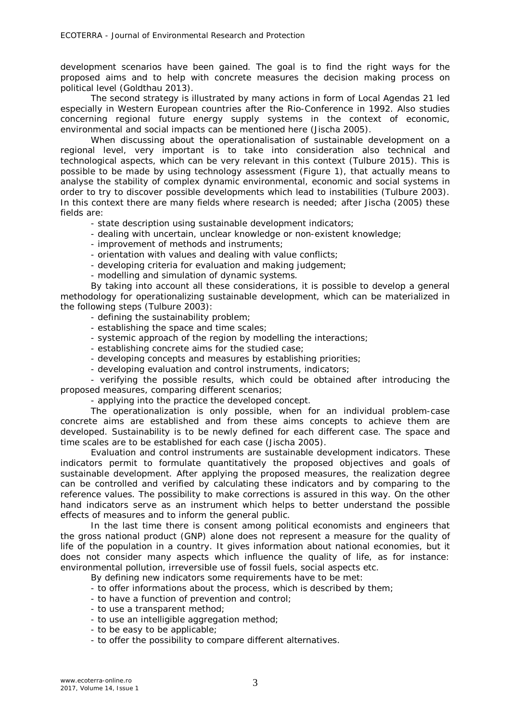development scenarios have been gained. The goal is to find the right ways for the proposed aims and to help with concrete measures the decision making process on political level (Goldthau 2013).

The second strategy is illustrated by many actions in form of Local Agendas 21 led especially in Western European countries after the Rio-Conference in 1992. Also studies concerning regional future energy supply systems in the context of economic, environmental and social impacts can be mentioned here (Jischa 2005).

When discussing about the operationalisation of sustainable development on a regional level, very important is to take into consideration also technical and technological aspects, which can be very relevant in this context (Tulbure 2015). This is possible to be made by using technology assessment (Figure 1), that actually means to analyse the stability of complex dynamic environmental, economic and social systems in order to try to discover possible developments which lead to instabilities (Tulbure 2003). In this context there are many fields where research is needed; after Jischa (2005) these fields are:

- state description using sustainable development indicators;

- dealing with uncertain, unclear knowledge or non-existent knowledge;
- improvement of methods and instruments;
- orientation with values and dealing with value conflicts;
- developing criteria for evaluation and making judgement;
- modelling and simulation of dynamic systems.

By taking into account all these considerations, it is possible to develop a general methodology for operationalizing sustainable development, which can be materialized in the following steps (Tulbure 2003):

- defining the sustainability problem;
- establishing the space and time scales;
- systemic approach of the region by modelling the interactions;
- establishing concrete aims for the studied case;
- developing concepts and measures by establishing priorities;
- developing evaluation and control instruments, indicators;

- verifying the possible results, which could be obtained after introducing the proposed measures, comparing different scenarios;

- applying into the practice the developed concept.

The operationalization is only possible, when for an individual problem-case concrete aims are established and from these aims concepts to achieve them are developed. Sustainability is to be newly defined for each different case. The space and time scales are to be established for each case (Jischa 2005).

Evaluation and control instruments are sustainable development indicators. These indicators permit to formulate quantitatively the proposed objectives and goals of sustainable development. After applying the proposed measures, the realization degree can be controlled and verified by calculating these indicators and by comparing to the reference values. The possibility to make corrections is assured in this way. On the other hand indicators serve as an instrument which helps to better understand the possible effects of measures and to inform the general public.

In the last time there is consent among political economists and engineers that the gross national product (GNP) alone does not represent a measure for the quality of life of the population in a country. It gives information about national economies, but it does not consider many aspects which influence the quality of life, as for instance: environmental pollution, irreversible use of fossil fuels, social aspects etc.

By defining new indicators some requirements have to be met:

- to offer informations about the process, which is described by them;
- to have a function of prevention and control;
- to use a transparent method;
- to use an intelligible aggregation method;
- to be easy to be applicable;
- to offer the possibility to compare different alternatives.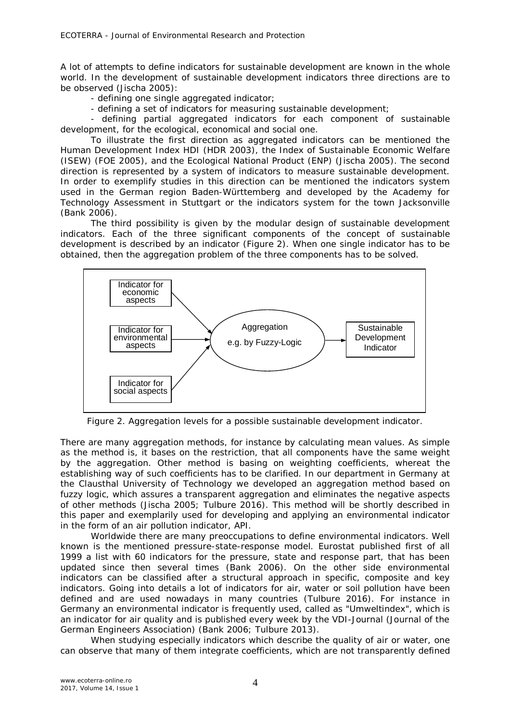A lot of attempts to define indicators for sustainable development are known in the whole world. In the development of sustainable development indicators three directions are to be observed (Jischa 2005):

- defining one single aggregated indicator;

- defining a set of indicators for measuring sustainable development;

- defining partial aggregated indicators for each component of sustainable development, for the ecological, economical and social one.

To illustrate the first direction as aggregated indicators can be mentioned the Human Development Index HDI (HDR 2003), the Index of Sustainable Economic Welfare (ISEW) (FOE 2005), and the Ecological National Product (ENP) (Jischa 2005). The second direction is represented by a system of indicators to measure sustainable development. In order to exemplify studies in this direction can be mentioned the indicators system used in the German region Baden-Württemberg and developed by the Academy for Technology Assessment in Stuttgart or the indicators system for the town Jacksonville (Bank 2006).

The third possibility is given by the modular design of sustainable development indicators. Each of the three significant components of the concept of sustainable development is described by an indicator (Figure 2). When one single indicator has to be obtained, then the aggregation problem of the three components has to be solved.



Figure 2. Aggregation levels for a possible sustainable development indicator.

There are many aggregation methods, for instance by calculating mean values. As simple as the method is, it bases on the restriction, that all components have the same weight by the aggregation. Other method is basing on weighting coefficients, whereat the establishing way of such coefficients has to be clarified. In our department in Germany at the Clausthal University of Technology we developed an aggregation method based on fuzzy logic, which assures a transparent aggregation and eliminates the negative aspects of other methods (Jischa 2005; Tulbure 2016). This method will be shortly described in this paper and exemplarily used for developing and applying an environmental indicator in the form of an air pollution indicator, API.

Worldwide there are many preoccupations to define environmental indicators. Well known is the mentioned *pressure-state-response model*. Eurostat published first of all 1999 a list with 60 indicators for the pressure, state and response part, that has been updated since then several times (Bank 2006). On the other side environmental indicators can be classified after a structural approach in *specific, composite* an*d key* indicators. Going into details a lot of indicators for air, water or soil pollution have been defined and are used nowadays in many countries (Tulbure 2016). For instance in Germany an environmental indicator is frequently used, called as "Umweltindex", which is an indicator for air quality and is published every week by the VDI-Journal (Journal of the German Engineers Association) (Bank 2006; Tulbure 2013).

When studying especially indicators which describe the quality of air or water, one can observe that many of them integrate coefficients, which are not transparently defined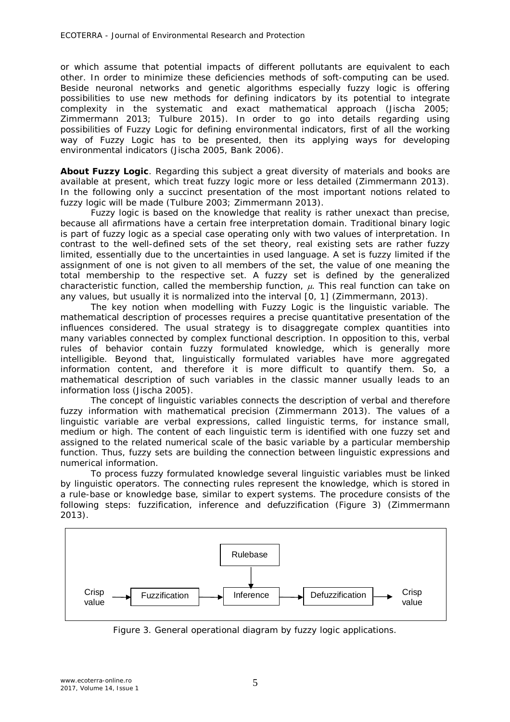or which assume that potential impacts of different pollutants are equivalent to each other. In order to minimize these deficiencies methods of soft-computing can be used. Beside neuronal networks and genetic algorithms especially fuzzy logic is offering possibilities to use new methods for defining indicators by its potential to integrate complexity in the systematic and exact mathematical approach (Jischa 2005; Zimmermann 2013; Tulbure 2015). In order to go into details regarding using possibilities of Fuzzy Logic for defining environmental indicators, first of all the working way of Fuzzy Logic has to be presented, then its applying ways for developing environmental indicators (Jischa 2005, Bank 2006).

*About Fuzzy Logic.* Regarding this subject a great diversity of materials and books are available at present, which treat fuzzy logic more or less detailed (Zimmermann 2013). In the following only a succinct presentation of the most important notions related to fuzzy logic will be made (Tulbure 2003; Zimmermann 2013).

Fuzzy logic is based on the knowledge that reality is rather unexact than precise, because all afirmations have a certain free interpretation domain. Traditional binary logic is part of fuzzy logic as a special case operating only with two values of interpretation. In contrast to the well-defined sets of the set theory, real existing sets are rather fuzzy limited, essentially due to the uncertainties in used language. A set is fuzzy limited if the assignment of one is not given to all members of the set, the value of one meaning the total membership to the respective set. A fuzzy set is defined by the generalized characteristic function, called the *membership function,*  $\mu$ . This real function can take on any values, but usually it is normalized into the interval [0, 1] (Zimmermann, 2013).

The key notion when modelling with Fuzzy Logic is the *linguistic variable*. The mathematical description of processes requires a precise quantitative presentation of the influences considered. The usual strategy is to disaggregate complex quantities into many variables connected by complex functional description. In opposition to this, verbal rules of behavior contain fuzzy formulated knowledge, which is generally more intelligible. Beyond that, linguistically formulated variables have more aggregated information content, and therefore it is more difficult to quantify them. So, a mathematical description of such variables in the classic manner usually leads to an information loss (Jischa 2005).

The concept of linguistic variables connects the description of verbal and therefore fuzzy information with mathematical precision (Zimmermann 2013). The values of a linguistic variable are verbal expressions, called *linguistic terms*, for instance *small*, *medium* or *high*. The content of each linguistic term is identified with one fuzzy set and assigned to the related numerical scale of the basic variable by a particular membership function. Thus, fuzzy sets are building the connection between linguistic expressions and numerical information.

To process fuzzy formulated knowledge several linguistic variables must be linked by linguistic operators. The connecting rules represent the knowledge, which is stored in a rule-base or knowledge base, similar to expert systems. The procedure consists of the following steps: fuzzification, inference and defuzzification (Figure 3) (Zimmermann 2013).



Figure 3. General operational diagram by fuzzy logic applications.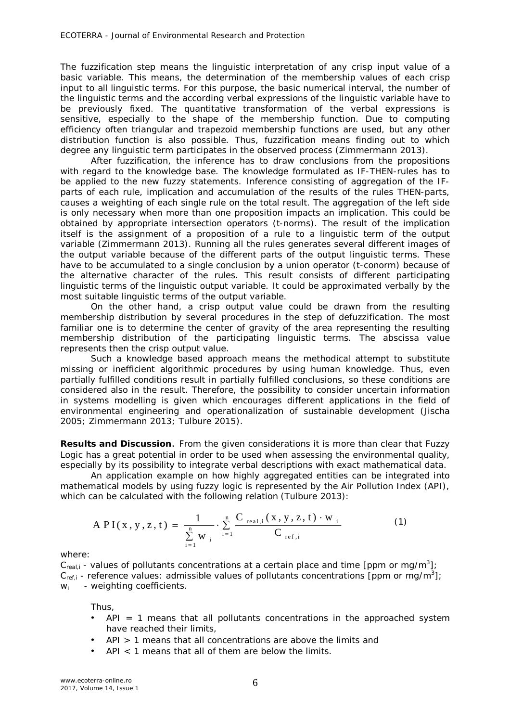The fuzzification step means the linguistic interpretation of any crisp input value of a basic variable. This means, the determination of the membership values of each crisp input to all linguistic terms. For this purpose, the basic numerical interval, the number of the linguistic terms and the according verbal expressions of the linguistic variable have to be previously fixed. The quantitative transformation of the verbal expressions is sensitive, especially to the shape of the membership function. Due to computing efficiency often triangular and trapezoid membership functions are used, but any other distribution function is also possible. Thus, fuzzification means finding out to which degree any linguistic term participates in the observed process (Zimmermann 2013).

After fuzzification, the inference has to draw conclusions from the propositions with regard to the knowledge base. The knowledge formulated as *IF-THEN-rules* has to be applied to the new fuzzy statements. Inference consisting of aggregation of the IFparts of each rule, implication and accumulation of the results of the rules THEN-parts, causes a weighting of each single rule on the total result. The aggregation of the left side is only necessary when more than one proposition impacts an implication. This could be obtained by appropriate intersection operators (t-norms). The result of the implication itself is the assignment of a proposition of a rule to a linguistic term of the output variable (Zimmermann 2013). Running all the rules generates several different images of the output variable because of the different parts of the output linguistic terms. These have to be accumulated to a single conclusion by a union operator (t-conorm) because of the alternative character of the rules. This result consists of different participating linguistic terms of the linguistic output variable. It could be approximated verbally by the most suitable linguistic terms of the output variable.

On the other hand, a crisp output value could be drawn from the resulting membership distribution by several procedures in the step of defuzzification. The most familiar one is to determine the center of gravity of the area representing the resulting membership distribution of the participating linguistic terms. The abscissa value represents then the crisp output value.

Such a knowledge based approach means the methodical attempt to substitute missing or inefficient algorithmic procedures by using human knowledge. Thus, even partially fulfilled conditions result in partially fulfilled conclusions, so these conditions are considered also in the result. Therefore, the possibility to consider uncertain information in systems modelling is given which encourages different applications in the field of environmental engineering and operationalization of sustainable development (Jischa 2005; Zimmermann 2013; Tulbure 2015).

**Results and Discussion**. From the given considerations it is more than clear that Fuzzy Logic has a great potential in order to be used when assessing the environmental quality, especially by its possibility to integrate verbal descriptions with exact mathematical data.

An application example on how highly aggregated entities can be integrated into mathematical models by using fuzzy logic is represented by the Air Pollution Index (API), which can be calculated with the following relation (Tulbure 2013):

$$
API(x, y, z, t) = \frac{1}{\sum_{i=1}^{n} w_i} \cdot \sum_{i=1}^{n} \frac{C_{real,i}(x, y, z, t) \cdot w_i}{C_{ref,i}}
$$
(1)

where:

 $C_{real,i}$  - values of pollutants concentrations at a certain place and time [ppm or mg/m<sup>3</sup>];  $C_{ref,i}$  - reference values: admissible values of pollutants concentrations [ppm or mg/m<sup>3</sup>]; *wi* - weighting coefficients.

Thus,

- $API = 1$  means that all pollutants concentrations in the approached system have reached their limits,
- API > 1 means that all concentrations are above the limits and
- API < 1 means that all of them are below the limits.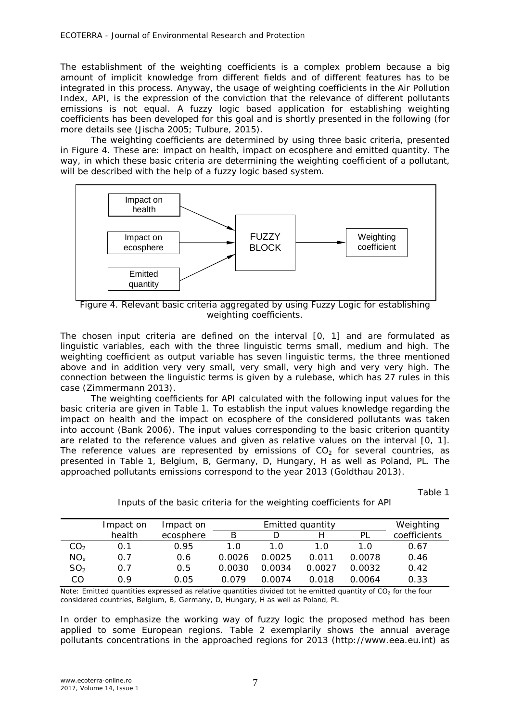The establishment of the weighting coefficients is a complex problem because a big amount of implicit knowledge from different fields and of different features has to be integrated in this process. Anyway, the usage of weighting coefficients in the Air Pollution Index, API, is the expression of the conviction that the relevance of different pollutants emissions is not equal. A fuzzy logic based application for establishing weighting coefficients has been developed for this goal and is shortly presented in the following (for more details see (Jischa 2005; Tulbure, 2015).

The weighting coefficients are determined by using three basic criteria, presented in Figure 4. These are: *impact on health, impact on ecosphere and emitted quantity*. The way, in which these basic criteria are determining the weighting coefficient of a pollutant, will be described with the help of a fuzzy logic based system.



Figure 4. Relevant basic criteria aggregated by using Fuzzy Logic for establishing weighting coefficients.

The chosen input criteria are defined on the interval [0, 1] and are formulated as *linguistic variables*, each with the three linguistic terms *small, medium* and *high*. The weighting coefficient as output variable has seven linguistic terms, the three mentioned above and in addition *very very small, very small, very high* and *very very high*. The connection between the linguistic terms is given by a rulebase, which has 27 rules in this case (Zimmermann 2013).

The weighting coefficients for API calculated with the following input values for the basic criteria are given in Table 1. To establish the input values knowledge regarding *the impact on health* and *the impact on ecosphere* of the considered pollutants was taken into account (Bank 2006). The input values corresponding to the basic criterion *quantity* are related to the reference values and given as relative values on the interval [0, 1]. The reference values are represented by emissions of  $CO<sub>2</sub>$  for several countries, as presented in Table 1, Belgium, B, Germany, D, Hungary, H as well as Poland, PL. The approached pollutants emissions correspond to the year 2013 (Goldthau 2013).

|                 | Impact on | Impact on |        | Weighting |        |        |              |
|-----------------|-----------|-----------|--------|-----------|--------|--------|--------------|
|                 | health    | ecosphere | R      |           |        | ΡI     | coefficients |
| CO <sub>2</sub> | 0.1       | 0.95      | 1.0    | 1.0       | 1.0    | 1.0    | 0.67         |
| $NO_{x}$        | 0.7       | 0.6       | 0.0026 | 0.0025    | 0.011  | 0.0078 | 0.46         |
| SO <sub>2</sub> | 0.7       | 0.5       | 0.0030 | 0.0034    | 0.0027 | 0.0032 | 0.42         |
| CO              | በ ዓ       | 0.05      | በ በ79  | N 0074    | 0.018  | 0.0064 | 0.33         |

Inputs of the basic criteria for the weighting coefficients for API

Table 1

Note: Emitted quantities expressed as relative quantities divided tot he emitted quantity of CO<sub>2</sub> for the four considered countries, Belgium, B, Germany, D, Hungary, H as well as Poland, PL

In order to emphasize the working way of fuzzy logic the proposed method has been applied to some European regions. Table 2 exemplarily shows the annual average pollutants concentrations in the approached regions for 2013 (http://www.eea.eu.int) as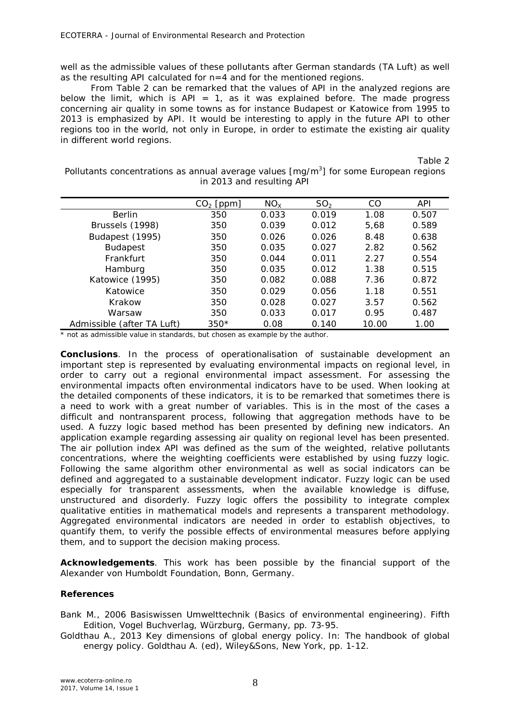well as the admissible values of these pollutants after German standards (TA Luft) as well as the resulting API calculated for n=4 and for the mentioned regions.

From Table 2 can be remarked that the values of API in the analyzed regions are below the limit, which is  $API = 1$ , as it was explained before. The made progress concerning air quality in some towns as for instance Budapest or Katowice from 1995 to 2013 is emphasized by API. It would be interesting to apply in the future API to other regions too in the world, not only in Europe, in order to estimate the existing air quality in different world regions.

Table 2

Pollutants concentrations as annual average values  $[mg/m<sup>3</sup>]$  for some European regions in 2013 and resulting API

|                            | $CO2$ [ppm] | NO <sub>x</sub> | SO <sub>2</sub> | CO    | <b>API</b> |
|----------------------------|-------------|-----------------|-----------------|-------|------------|
| <b>Berlin</b>              | 350         | 0.033           | 0.019           | 1.08  | 0.507      |
| Brussels (1998)            | 350         | 0.039           | 0.012           | 5,68  | 0.589      |
| Budapest (1995)            | 350         | 0.026           | 0.026           | 8.48  | 0.638      |
| <b>Budapest</b>            | 350         | 0.035           | 0.027           | 2.82  | 0.562      |
| Frankfurt                  | 350         | 0.044           | 0.011           | 2.27  | 0.554      |
| Hamburg                    | 350         | 0.035           | 0.012           | 1.38  | 0.515      |
| Katowice (1995)            | 350         | 0.082           | 0.088           | 7.36  | 0.872      |
| Katowice                   | 350         | 0.029           | 0.056           | 1.18  | 0.551      |
| Krakow                     | 350         | 0.028           | 0.027           | 3.57  | 0.562      |
| Warsaw                     | 350         | 0.033           | 0.017           | 0.95  | 0.487      |
| Admissible (after TA Luft) | $350*$      | 0.08            | 0.140           | 10.00 | 1.00       |

\* not as admissible value in standards, but chosen as example by the author.

**Conclusions**. In the process of operationalisation of sustainable development an important step is represented by evaluating environmental impacts on regional level, in order to carry out a regional environmental impact assessment. For assessing the environmental impacts often environmental indicators have to be used. When looking at the detailed components of these indicators, it is to be remarked that sometimes there is a need to work with a great number of variables. This is in the most of the cases a difficult and nontransparent process, following that aggregation methods have to be used. A fuzzy logic based method has been presented by defining new indicators. An application example regarding assessing air quality on regional level has been presented. The air pollution index API was defined as the sum of the weighted, relative pollutants concentrations, where the weighting coefficients were established by using fuzzy logic. Following the same algorithm other environmental as well as social indicators can be defined and aggregated to a sustainable development indicator. Fuzzy logic can be used especially for transparent assessments, when the available knowledge is diffuse, unstructured and disorderly. Fuzzy logic offers the possibility to integrate complex qualitative entities in mathematical models and represents a transparent methodology. Aggregated environmental indicators are needed in order to establish objectives, to quantify them, to verify the possible effects of environmental measures before applying them, and to support the decision making process.

**Acknowledgements**. This work has been possible by the financial support of the Alexander von Humboldt Foundation, Bonn, Germany.

## **References**

Bank M., 2006 Basiswissen Umwelttechnik (Basics of environmental engineering). Fifth Edition, Vogel Buchverlag, Würzburg, Germany, pp. 73-95.

Goldthau A., 2013 Key dimensions of global energy policy. In: The handbook of global energy policy. Goldthau A. (ed), Wiley&Sons, New York, pp. 1-12.